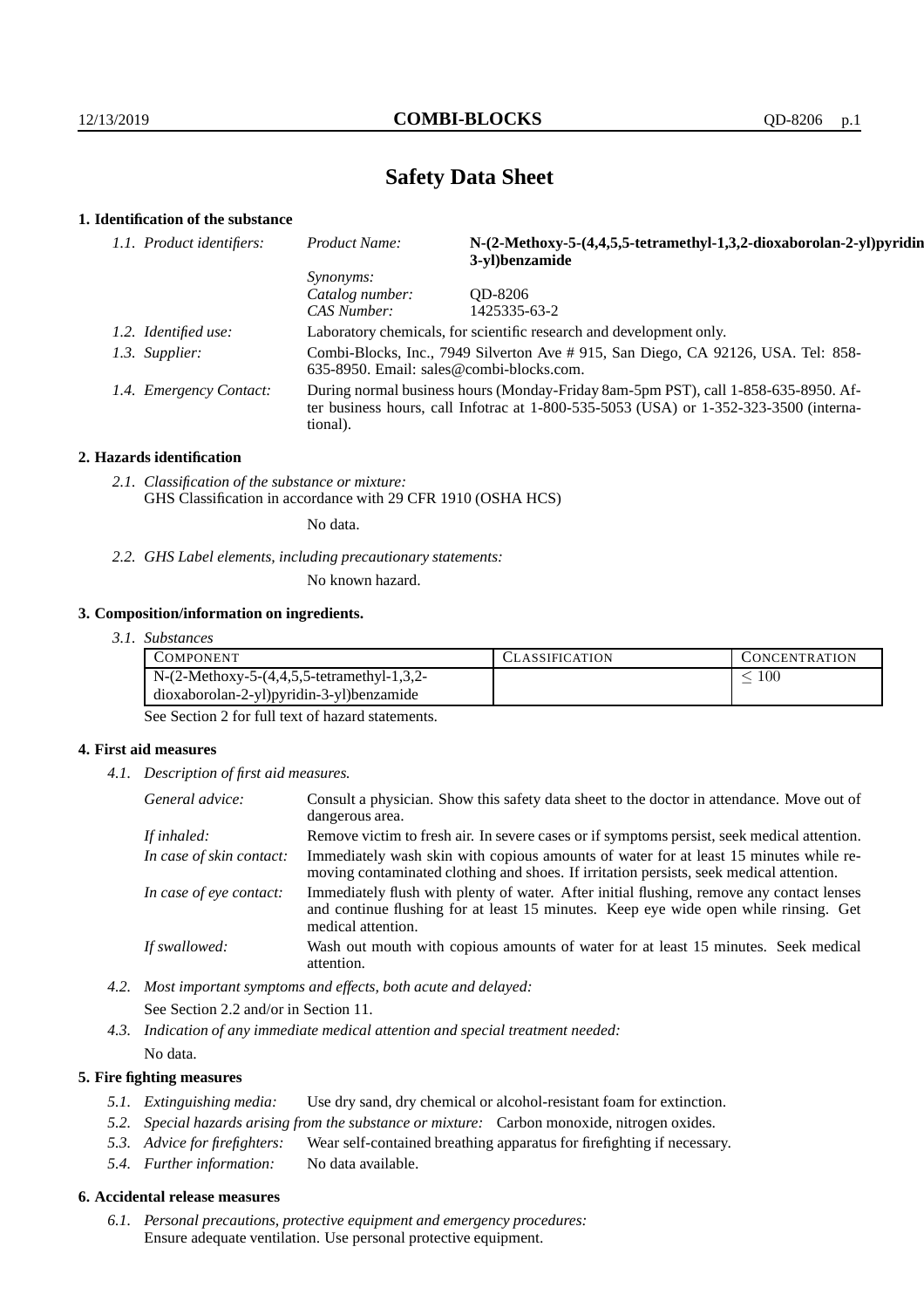# **Safety Data Sheet**

## **1. Identification of the substance**

| 1.1. Product identifiers: | Product Name:                                                                                                                                                                           | N-(2-Methoxy-5-(4,4,5,5-tetramethyl-1,3,2-dioxaborolan-2-yl)pyridin<br>3-yl)benzamide |  |
|---------------------------|-----------------------------------------------------------------------------------------------------------------------------------------------------------------------------------------|---------------------------------------------------------------------------------------|--|
|                           | <i>Synonyms:</i>                                                                                                                                                                        |                                                                                       |  |
|                           | Catalog number:                                                                                                                                                                         | OD-8206                                                                               |  |
|                           | CAS Number:                                                                                                                                                                             | 1425335-63-2                                                                          |  |
| 1.2. Identified use:      | Laboratory chemicals, for scientific research and development only.                                                                                                                     |                                                                                       |  |
| 1.3. Supplier:            | Combi-Blocks, Inc., 7949 Silverton Ave # 915, San Diego, CA 92126, USA. Tel: 858-<br>$635-8950$ . Email: sales@combi-blocks.com.                                                        |                                                                                       |  |
| 1.4. Emergency Contact:   | During normal business hours (Monday-Friday 8am-5pm PST), call 1-858-635-8950. Af-<br>ter business hours, call Infotrac at 1-800-535-5053 (USA) or 1-352-323-3500 (interna-<br>tional). |                                                                                       |  |

#### **2. Hazards identification**

*2.1. Classification of the substance or mixture:* GHS Classification in accordance with 29 CFR 1910 (OSHA HCS)

No data.

*2.2. GHS Label elements, including precautionary statements:*

No known hazard.

## **3. Composition/information on ingredients.**

*3.1. Substances*

|                                              | <b>LASSIFICATION</b> | <b>CONCENTRATION</b> |
|----------------------------------------------|----------------------|----------------------|
| $N-(2-Methoxy-5-(4,4,5,5-tetramethyl-1,3,2-$ |                      | 100                  |
| dioxaborolan-2-yl)pyridin-3-yl)benzamide     |                      |                      |

See Section 2 for full text of hazard statements.

## **4. First aid measures**

*4.1. Description of first aid measures.*

| General advice:          | Consult a physician. Show this safety data sheet to the doctor in attendance. Move out of<br>dangerous area.                                                                                            |
|--------------------------|---------------------------------------------------------------------------------------------------------------------------------------------------------------------------------------------------------|
| If inhaled:              | Remove victim to fresh air. In severe cases or if symptoms persist, seek medical attention.                                                                                                             |
| In case of skin contact: | Immediately wash skin with copious amounts of water for at least 15 minutes while re-<br>moving contaminated clothing and shoes. If irritation persists, seek medical attention.                        |
| In case of eye contact:  | Immediately flush with plenty of water. After initial flushing, remove any contact lenses<br>and continue flushing for at least 15 minutes. Keep eye wide open while rinsing. Get<br>medical attention. |
| If swallowed:            | Wash out mouth with copious amounts of water for at least 15 minutes. Seek medical<br>attention.                                                                                                        |

- *4.2. Most important symptoms and effects, both acute and delayed:* See Section 2.2 and/or in Section 11.
- *4.3. Indication of any immediate medical attention and special treatment needed:* No data.

## **5. Fire fighting measures**

- *5.1. Extinguishing media:* Use dry sand, dry chemical or alcohol-resistant foam for extinction.
- *5.2. Special hazards arising from the substance or mixture:* Carbon monoxide, nitrogen oxides.
- *5.3. Advice for firefighters:* Wear self-contained breathing apparatus for firefighting if necessary.
- *5.4. Further information:* No data available.

## **6. Accidental release measures**

*6.1. Personal precautions, protective equipment and emergency procedures:* Ensure adequate ventilation. Use personal protective equipment.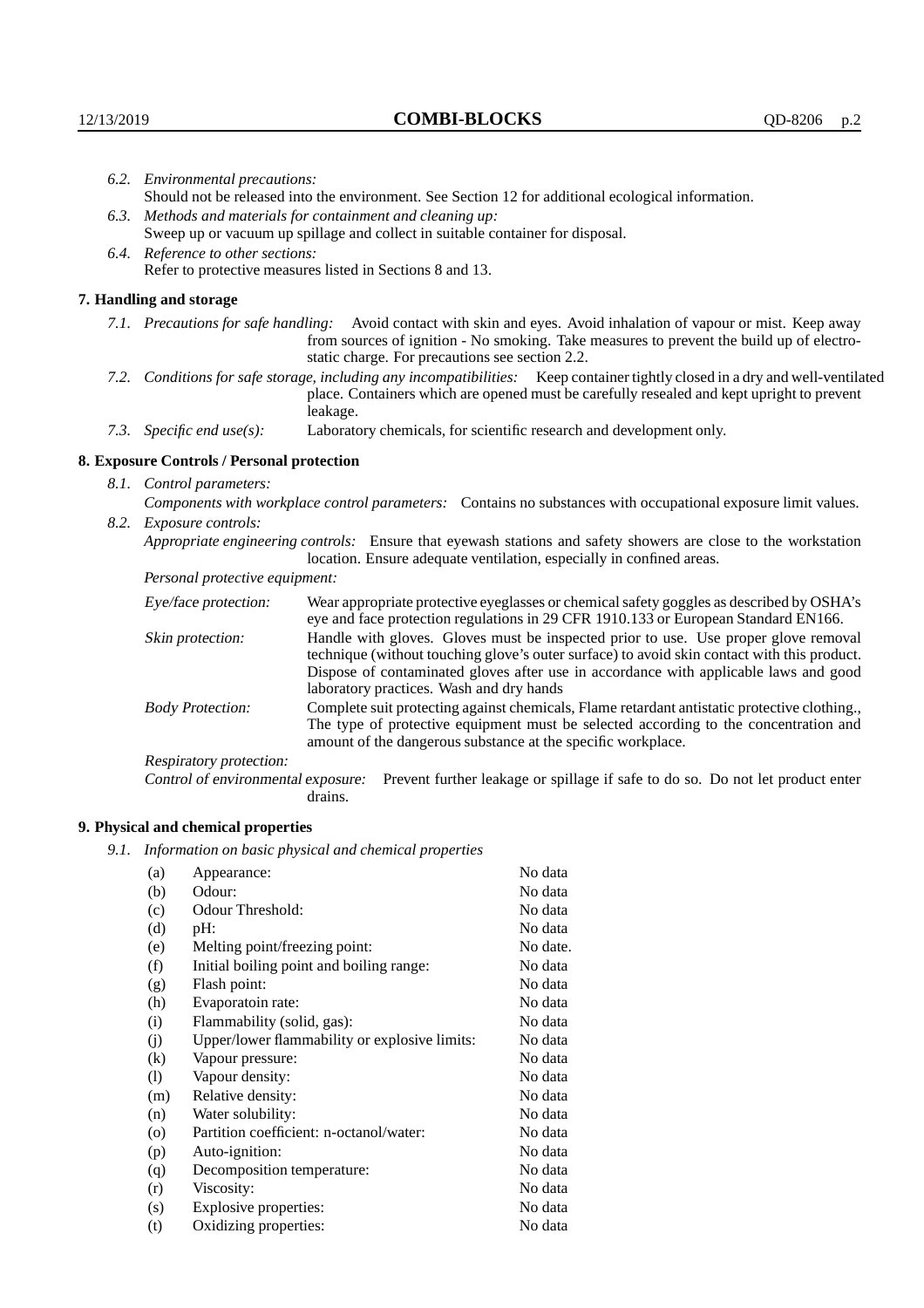| 6.2. Environmental precautions:                                                                                                                                                                                                                                    |                                                                                                                                                                                                                                                                                                                        |  |  |  |
|--------------------------------------------------------------------------------------------------------------------------------------------------------------------------------------------------------------------------------------------------------------------|------------------------------------------------------------------------------------------------------------------------------------------------------------------------------------------------------------------------------------------------------------------------------------------------------------------------|--|--|--|
|                                                                                                                                                                                                                                                                    | Should not be released into the environment. See Section 12 for additional ecological information.                                                                                                                                                                                                                     |  |  |  |
|                                                                                                                                                                                                                                                                    | 6.3. Methods and materials for containment and cleaning up:                                                                                                                                                                                                                                                            |  |  |  |
| Sweep up or vacuum up spillage and collect in suitable container for disposal.                                                                                                                                                                                     |                                                                                                                                                                                                                                                                                                                        |  |  |  |
| 6.4. Reference to other sections:                                                                                                                                                                                                                                  |                                                                                                                                                                                                                                                                                                                        |  |  |  |
| Refer to protective measures listed in Sections 8 and 13.                                                                                                                                                                                                          |                                                                                                                                                                                                                                                                                                                        |  |  |  |
| 7. Handling and storage                                                                                                                                                                                                                                            |                                                                                                                                                                                                                                                                                                                        |  |  |  |
| 7.1. Precautions for safe handling: Avoid contact with skin and eyes. Avoid inhalation of vapour or mist. Keep away<br>from sources of ignition - No smoking. Take measures to prevent the build up of electro-<br>static charge. For precautions see section 2.2. |                                                                                                                                                                                                                                                                                                                        |  |  |  |
|                                                                                                                                                                                                                                                                    | 7.2. Conditions for safe storage, including any incompatibilities: Keep container tightly closed in a dry and well-ventilated<br>place. Containers which are opened must be carefully resealed and kept upright to prevent<br>leakage.                                                                                 |  |  |  |
| 7.3. Specific end use(s):                                                                                                                                                                                                                                          | Laboratory chemicals, for scientific research and development only.                                                                                                                                                                                                                                                    |  |  |  |
| 8. Exposure Controls / Personal protection                                                                                                                                                                                                                         |                                                                                                                                                                                                                                                                                                                        |  |  |  |
| 8.1. Control parameters:                                                                                                                                                                                                                                           |                                                                                                                                                                                                                                                                                                                        |  |  |  |
| Components with workplace control parameters: Contains no substances with occupational exposure limit values.                                                                                                                                                      |                                                                                                                                                                                                                                                                                                                        |  |  |  |
| 8.2. Exposure controls:                                                                                                                                                                                                                                            |                                                                                                                                                                                                                                                                                                                        |  |  |  |
|                                                                                                                                                                                                                                                                    | Appropriate engineering controls: Ensure that eyewash stations and safety showers are close to the workstation<br>location. Ensure adequate ventilation, especially in confined areas.                                                                                                                                 |  |  |  |
| Personal protective equipment:                                                                                                                                                                                                                                     |                                                                                                                                                                                                                                                                                                                        |  |  |  |
| Eye/face protection:                                                                                                                                                                                                                                               | Wear appropriate protective eyeglasses or chemical safety goggles as described by OSHA's<br>eye and face protection regulations in 29 CFR 1910.133 or European Standard EN166.                                                                                                                                         |  |  |  |
| Skin protection:                                                                                                                                                                                                                                                   | Handle with gloves. Gloves must be inspected prior to use. Use proper glove removal<br>technique (without touching glove's outer surface) to avoid skin contact with this product.<br>Dispose of contaminated gloves after use in accordance with applicable laws and good<br>laboratory practices. Wash and dry hands |  |  |  |
| <b>Body Protection:</b>                                                                                                                                                                                                                                            | Complete suit protecting against chemicals, Flame retardant antistatic protective clothing.,<br>The type of protective equipment must be selected according to the concentration and<br>amount of the dangerous substance at the specific workplace.                                                                   |  |  |  |
| Respiratory protection:                                                                                                                                                                                                                                            |                                                                                                                                                                                                                                                                                                                        |  |  |  |

Control of environmental exposure: Prevent further leakage or spillage if safe to do so. Do not let product enter drains.

# **9. Physical and chemical properties**

*9.1. Information on basic physical and chemical properties*

| (a)                        | Appearance:                                   | No data  |
|----------------------------|-----------------------------------------------|----------|
| (b)                        | Odour:                                        | No data  |
| (c)                        | Odour Threshold:                              | No data  |
| (d)                        | pH:                                           | No data  |
| (e)                        | Melting point/freezing point:                 | No date. |
| (f)                        | Initial boiling point and boiling range:      | No data  |
| (g)                        | Flash point:                                  | No data  |
| (h)                        | Evaporatoin rate:                             | No data  |
| (i)                        | Flammability (solid, gas):                    | No data  |
| (j)                        | Upper/lower flammability or explosive limits: | No data  |
| $\rm(k)$                   | Vapour pressure:                              | No data  |
| $\left( \mathrm{l}\right)$ | Vapour density:                               | No data  |
| (m)                        | Relative density:                             | No data  |
| (n)                        | Water solubility:                             | No data  |
| $\circ$                    | Partition coefficient: n-octanol/water:       | No data  |
| (p)                        | Auto-ignition:                                | No data  |
| (q)                        | Decomposition temperature:                    | No data  |
| (r)                        | Viscosity:                                    | No data  |
| (s)                        | Explosive properties:                         | No data  |
| (t)                        | Oxidizing properties:                         | No data  |